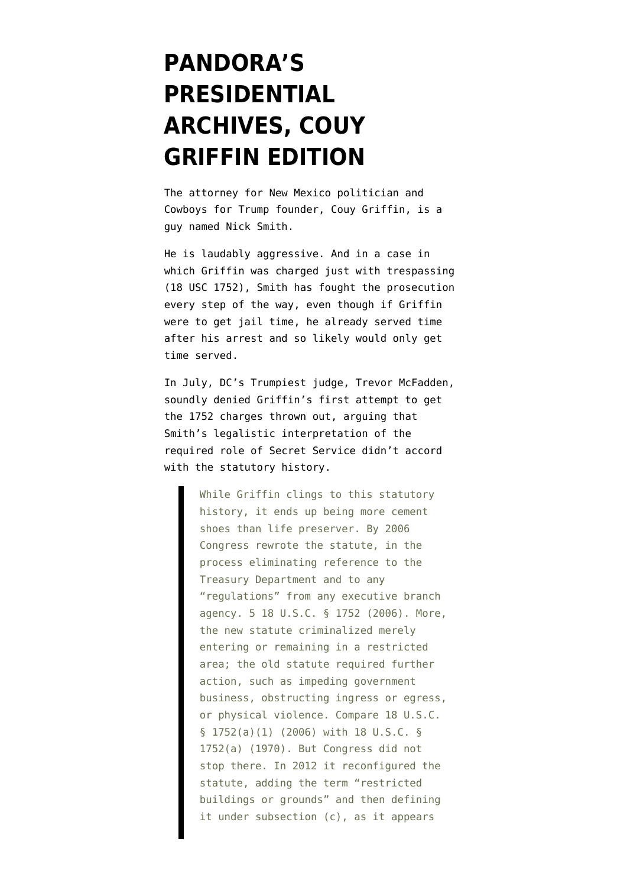## **[PANDORA'S](https://www.emptywheel.net/2022/01/18/pandoras-presidential-archives-couy-griffin-edition/) [PRESIDENTIAL](https://www.emptywheel.net/2022/01/18/pandoras-presidential-archives-couy-griffin-edition/) [ARCHIVES, COUY](https://www.emptywheel.net/2022/01/18/pandoras-presidential-archives-couy-griffin-edition/) [GRIFFIN EDITION](https://www.emptywheel.net/2022/01/18/pandoras-presidential-archives-couy-griffin-edition/)**

The attorney for New Mexico politician and Cowboys for Trump founder, Couy Griffin, is a guy named Nick Smith.

He is laudably aggressive. And in [a case](https://www.courtlistener.com/docket/59234941/united-states-v-griffin/) in which Griffin was charged just with trespassing ([18 USC 1752](https://www.law.cornell.edu/uscode/text/18/1752)), Smith has fought the prosecution every step of the way, even though if Griffin were to get jail time, he already served time after his arrest and so likely would only get time served.

In July, DC's Trumpiest judge, Trevor McFadden, [soundly denied](https://storage.courtlistener.com/recap/gov.uscourts.dcd.227183/gov.uscourts.dcd.227183.41.0.pdf) Griffin's first attempt to get the 1752 charges thrown out, arguing that Smith's legalistic interpretation of the required role of Secret Service didn't accord with the statutory history.

> While Griffin clings to this statutory history, it ends up being more cement shoes than life preserver. By 2006 Congress rewrote the statute, in the process eliminating reference to the Treasury Department and to any "regulations" from any executive branch agency. 5 18 U.S.C. § 1752 (2006). More, the new statute criminalized merely entering or remaining in a restricted area; the old statute required further action, such as impeding government business, obstructing ingress or egress, or physical violence. Compare 18 U.S.C. § 1752(a)(1) (2006) with 18 U.S.C. § 1752(a) (1970). But Congress did not stop there. In 2012 it reconfigured the statute, adding the term "restricted buildings or grounds" and then defining it under subsection (c), as it appears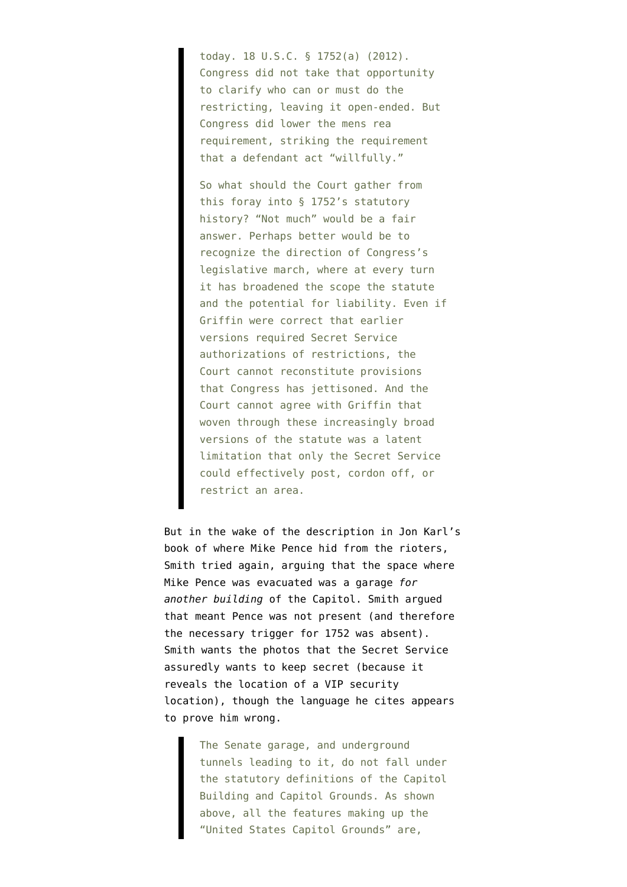today. 18 U.S.C. § 1752(a) (2012). Congress did not take that opportunity to clarify who can or must do the restricting, leaving it open-ended. But Congress did lower the mens rea requirement, striking the requirement that a defendant act "willfully."

So what should the Court gather from this foray into § 1752's statutory history? "Not much" would be a fair answer. Perhaps better would be to recognize the direction of Congress's legislative march, where at every turn it has broadened the scope the statute and the potential for liability. Even if Griffin were correct that earlier versions required Secret Service authorizations of restrictions, the Court cannot reconstitute provisions that Congress has jettisoned. And the Court cannot agree with Griffin that woven through these increasingly broad versions of the statute was a latent limitation that only the Secret Service could effectively post, cordon off, or restrict an area.

But in the wake of the description in Jon Karl's book of where Mike Pence hid from the rioters, Smith [tried again,](https://storage.courtlistener.com/recap/gov.uscourts.dcd.227183/gov.uscourts.dcd.227183.66.0.pdf) arguing that the space where Mike Pence was evacuated was a garage *for another building* of the Capitol. Smith argued that meant Pence was not present (and therefore the necessary trigger for 1752 was absent). Smith wants the photos that the Secret Service assuredly wants to keep secret (because it reveals the location of a VIP security location), though the language he cites appears to prove him wrong.

> The Senate garage, and underground tunnels leading to it, do not fall under the statutory definitions of the Capitol Building and Capitol Grounds. As shown above, all the features making up the "United States Capitol Grounds" are,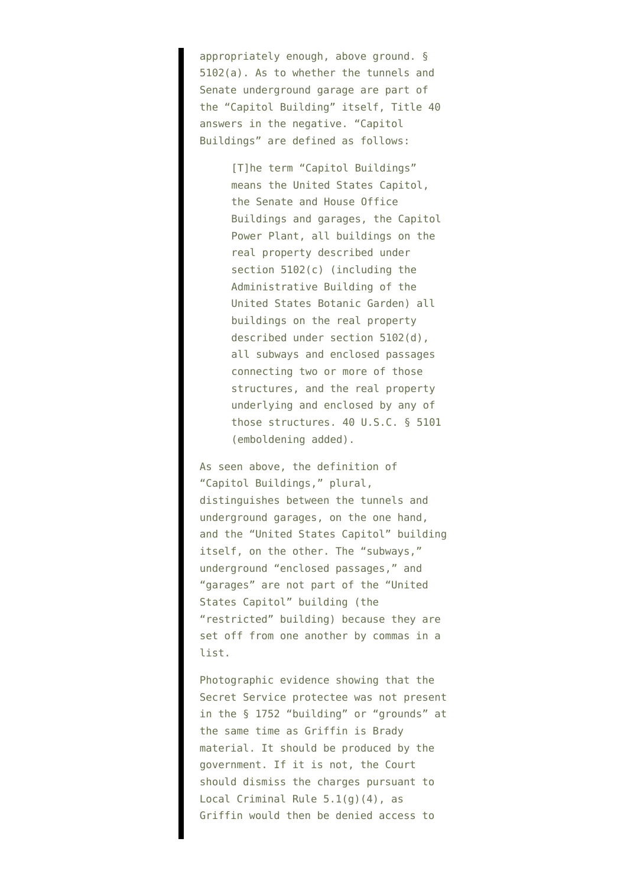appropriately enough, above ground. § 5102(a). As to whether the tunnels and Senate underground garage are part of the "Capitol Building" itself, Title 40 answers in the negative. "Capitol Buildings" are defined as follows:

> [T]he term "Capitol Buildings" means the United States Capitol, the Senate and House Office Buildings and garages, the Capitol Power Plant, all buildings on the real property described under section 5102(c) (including the Administrative Building of the United States Botanic Garden) all buildings on the real property described under section 5102(d), all subways and enclosed passages connecting two or more of those structures, and the real property underlying and enclosed by any of those structures. 40 U.S.C. § 5101 (emboldening added).

As seen above, the definition of "Capitol Buildings," plural, distinguishes between the tunnels and underground garages, on the one hand, and the "United States Capitol" building itself, on the other. The "subways," underground "enclosed passages," and "garages" are not part of the "United States Capitol" building (the "restricted" building) because they are set off from one another by commas in a list.

Photographic evidence showing that the Secret Service protectee was not present in the § 1752 "building" or "grounds" at the same time as Griffin is Brady material. It should be produced by the government. If it is not, the Court should dismiss the charges pursuant to Local Criminal Rule 5.1(g)(4), as Griffin would then be denied access to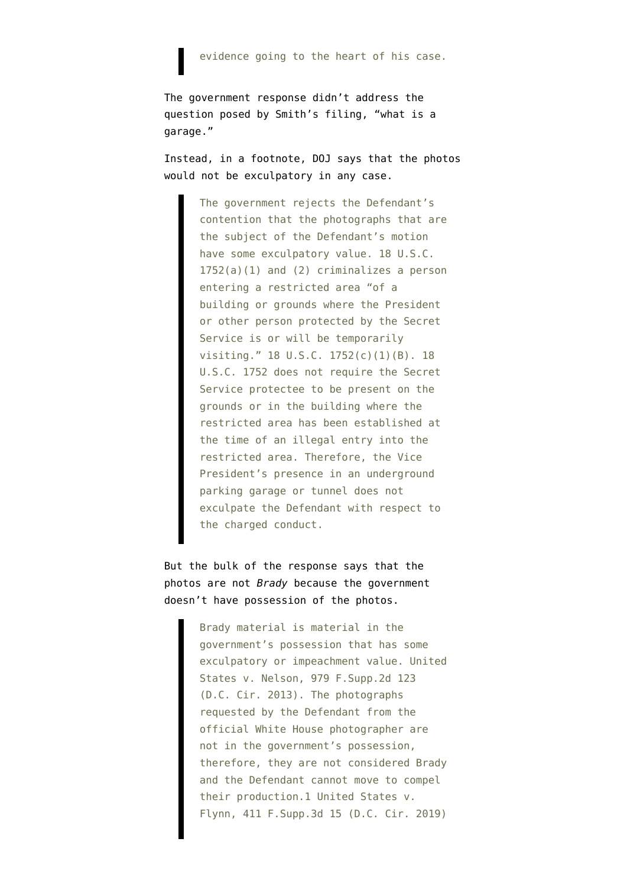evidence going to the heart of his case.

The government [response](https://storage.courtlistener.com/recap/gov.uscourts.dcd.227183/gov.uscourts.dcd.227183.70.0_1.pdf) didn't address the question posed by Smith's filing, "what is a garage."

Instead, in a footnote, DOJ says that the photos would not be exculpatory in any case.

> The government rejects the Defendant's contention that the photographs that are the subject of the Defendant's motion have some exculpatory value. 18 U.S.C. 1752(a)(1) and (2) criminalizes a person entering a restricted area "of a building or grounds where the President or other person protected by the Secret Service is or will be temporarily visiting." 18 U.S.C. 1752(c)(1)(B). 18 U.S.C. 1752 does not require the Secret Service protectee to be present on the grounds or in the building where the restricted area has been established at the time of an illegal entry into the restricted area. Therefore, the Vice President's presence in an underground parking garage or tunnel does not exculpate the Defendant with respect to the charged conduct.

But the bulk of the response says that the photos are not *Brady* because the government doesn't have possession of the photos.

> Brady material is material in the government's possession that has some exculpatory or impeachment value. United States v. Nelson, 979 F.Supp.2d 123 (D.C. Cir. 2013). The photographs requested by the Defendant from the official White House photographer are not in the government's possession, therefore, they are not considered Brady and the Defendant cannot move to compel their production.1 United States v. Flynn, 411 F.Supp.3d 15 (D.C. Cir. 2019)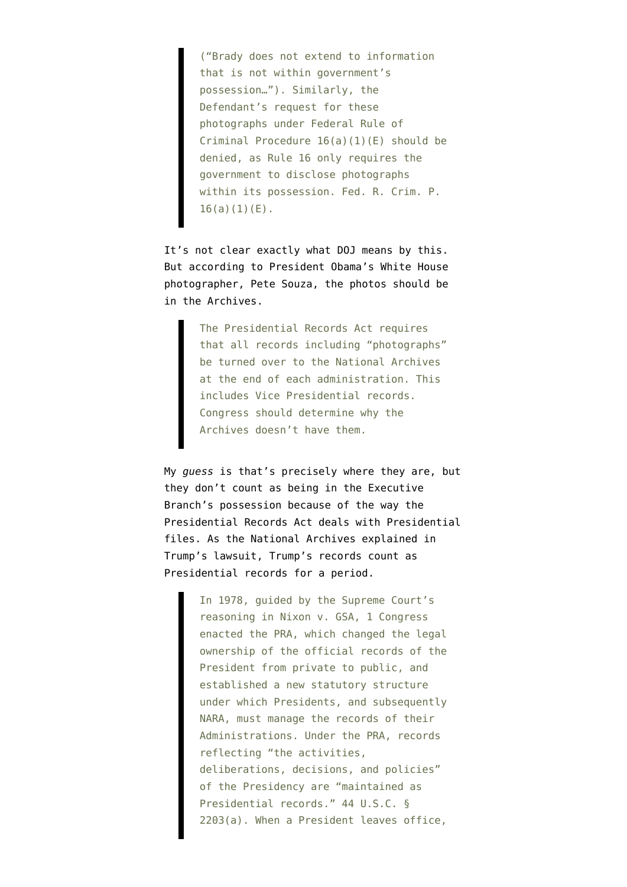("Brady does not extend to information that is not within government's possession…"). Similarly, the Defendant's request for these photographs under Federal Rule of Criminal Procedure 16(a)(1)(E) should be denied, as Rule 16 only requires the government to disclose photographs within its possession. Fed. R. Crim. P.  $16(a)(1)(E)$ .

It's not clear exactly what DOJ means by this. But according to President Obama's [White House](https://twitter.com/PeteSouza/status/1483480530540761089) [photographer](https://twitter.com/PeteSouza/status/1483480530540761089), Pete Souza, the photos should be in the Archives.

> The Presidential Records Act requires that all records including "photographs" be turned over to the National Archives at the end of each administration. This includes Vice Presidential records. Congress should determine why the Archives doesn't have them.

My *guess* is that's precisely where they are, but they don't count as being in the Executive Branch's possession because of the way the Presidential Records Act deals with Presidential files. As the National Archives [explained](https://storage.courtlistener.com/recap/gov.uscourts.dcd.236632/gov.uscourts.dcd.236632.21.0.pdf) in Trump's lawsuit, Trump's records count as Presidential records for a period.

> In 1978, guided by the Supreme Court's reasoning in Nixon v. GSA, 1 Congress enacted the PRA, which changed the legal ownership of the official records of the President from private to public, and established a new statutory structure under which Presidents, and subsequently NARA, must manage the records of their Administrations. Under the PRA, records reflecting "the activities, deliberations, decisions, and policies" of the Presidency are "maintained as Presidential records." 44 U.S.C. § 2203(a). When a President leaves office,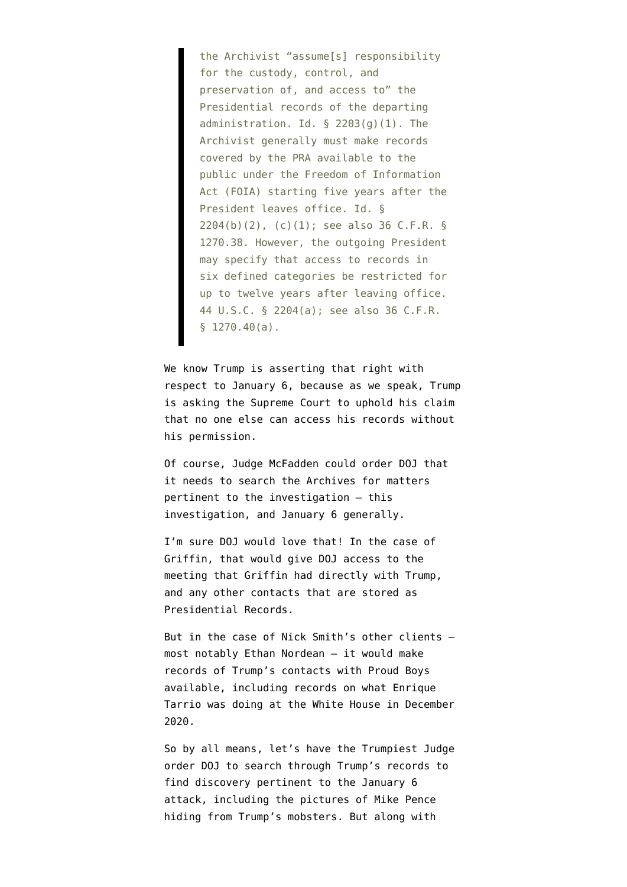the Archivist "assume[s] responsibility for the custody, control, and preservation of, and access to" the Presidential records of the departing administration. Id.  $\S$  2203(q)(1). The Archivist generally must make records covered by the PRA available to the public under the Freedom of Information Act (FOIA) starting five years after the President leaves office. Id. § 2204(b)(2), (c)(1); see also 36 C.F.R. § 1270.38. However, the outgoing President may specify that access to records in six defined categories be restricted for up to twelve years after leaving office. 44 U.S.C. § 2204(a); see also 36 C.F.R. § 1270.40(a).

We know Trump is asserting that right with respect to January 6, because as we speak, Trump is asking the Supreme Court to uphold his claim that no one else can access his records without his permission.

Of course, Judge McFadden could order DOJ that it needs to search the Archives for matters pertinent to the investigation — this investigation, and January 6 generally.

I'm sure DOJ would love that! In the case of Griffin, that would give DOJ access to the meeting that Griffin had directly with Trump, and any other contacts that are stored as Presidential Records.

But in the case of Nick Smith's other clients most notably Ethan Nordean — it would make records of Trump's contacts with Proud Boys available, including records on what Enrique Tarrio was doing at the White House in December 2020.

So by all means, let's have the Trumpiest Judge order DOJ to search through Trump's records to find discovery pertinent to the January 6 attack, including the pictures of Mike Pence hiding from Trump's mobsters. But along with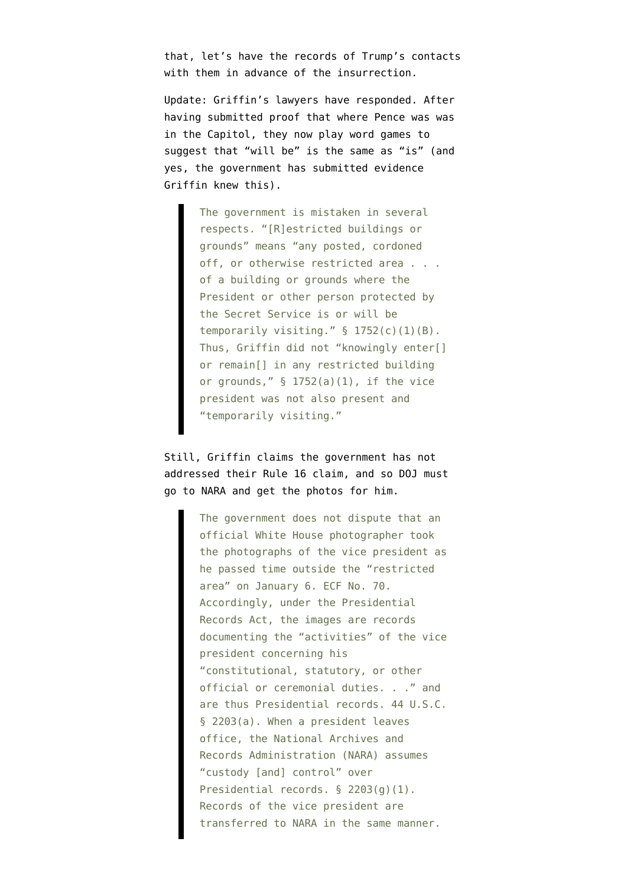that, let's have the records of Trump's contacts with them in advance of the insurrection.

Update: Griffin's lawyers have [responded.](https://storage.courtlistener.com/recap/gov.uscourts.dcd.227183/gov.uscourts.dcd.227183.73.0.pdf) After having submitted proof that where Pence was was in the Capitol, they now play word games to suggest that "will be" is the same as "is" (and yes, the government has submitted evidence Griffin knew this).

> The government is mistaken in several respects. "[R]estricted buildings or grounds" means "any posted, cordoned off, or otherwise restricted area . . . of a building or grounds where the President or other person protected by the Secret Service is or will be temporarily visiting."  $\S$  1752(c)(1)(B). Thus, Griffin did not "knowingly enter[] or remain[] in any restricted building or grounds,"  $\S$  1752(a)(1), if the vice president was not also present and "temporarily visiting."

Still, Griffin claims the government has not addressed their Rule 16 claim, and so DOJ must go to NARA and get the photos for him.

> The government does not dispute that an official White House photographer took the photographs of the vice president as he passed time outside the "restricted area" on January 6. ECF No. 70. Accordingly, under the Presidential Records Act, the images are records documenting the "activities" of the vice president concerning his "constitutional, statutory, or other official or ceremonial duties. . ." and are thus Presidential records. 44 U.S.C. § 2203(a). When a president leaves office, the National Archives and Records Administration (NARA) assumes "custody [and] control" over Presidential records. § 2203(g)(1). Records of the vice president are transferred to NARA in the same manner.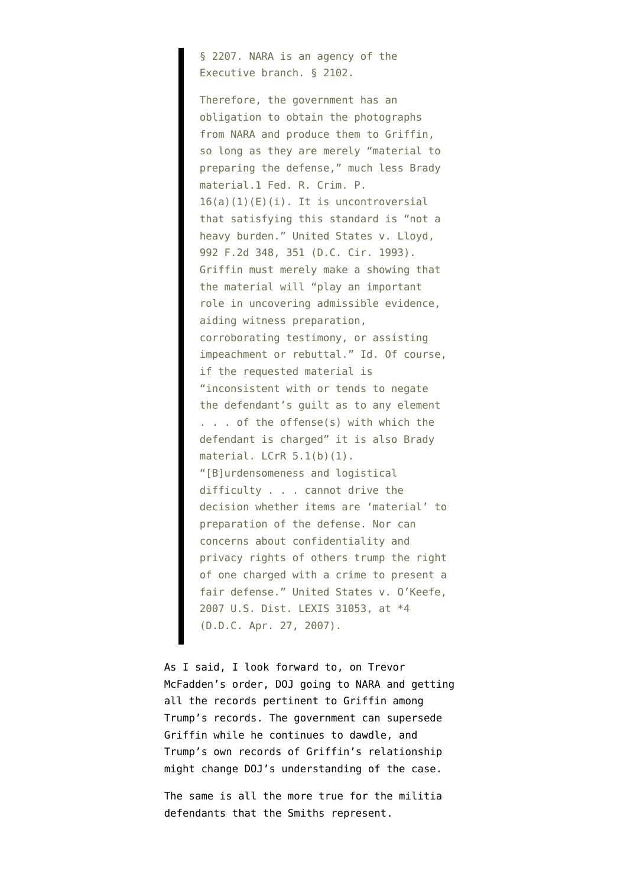§ 2207. NARA is an agency of the Executive branch. § 2102.

Therefore, the government has an obligation to obtain the photographs from NARA and produce them to Griffin, so long as they are merely "material to preparing the defense," much less Brady material.1 Fed. R. Crim. P.  $16(a)(1)(E)(i)$ . It is uncontroversial that satisfying this standard is "not a heavy burden." United States v. Lloyd, 992 F.2d 348, 351 (D.C. Cir. 1993). Griffin must merely make a showing that the material will "play an important role in uncovering admissible evidence, aiding witness preparation, corroborating testimony, or assisting impeachment or rebuttal." Id. Of course, if the requested material is "inconsistent with or tends to negate the defendant's guilt as to any element . . . of the offense(s) with which the defendant is charged" it is also Brady material. LCrR 5.1(b)(1). "[B]urdensomeness and logistical difficulty . . . cannot drive the decision whether items are 'material' to preparation of the defense. Nor can concerns about confidentiality and privacy rights of others trump the right of one charged with a crime to present a fair defense." United States v. O'Keefe, 2007 U.S. Dist. LEXIS 31053, at \*4 (D.D.C. Apr. 27, 2007).

As I said, I look forward to, on Trevor McFadden's order, DOJ going to NARA and getting all the records pertinent to Griffin among Trump's records. The government can supersede Griffin while he continues to dawdle, and Trump's own records of Griffin's relationship might change DOJ's understanding of the case.

The same is all the more true for the militia defendants that the Smiths represent.